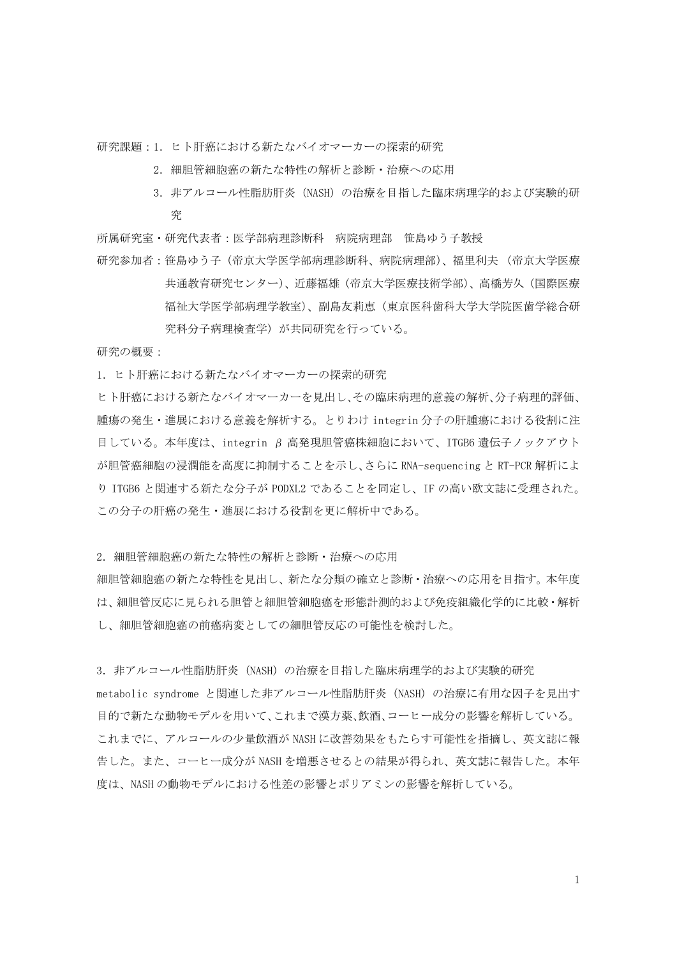研究課題:1. ヒト肝癌における新たなバイオマーカーの探索的研究

- 2. 細胆管細胞癌の新たな特性の解析と診断・治療への応用
- 3. 非アルコール性脂肪肝炎 (NASH) の治療を目指した臨床病理学的および実験的研 究
- 所属研究室・研究代表者:医学部病理診断科 病院病理部 笹島ゆう子教授
- 研究参加者:笹島ゆう子(帝京大学医学部病理診断科、病院病理部)、福里利夫 (帝京大学医療 共通教育研究センター)、近藤福雄(帝京大学医療技術学部)、高橋芳久(国際医療 福祉大学医学部病理学教室)、副島友莉恵(東京医科歯科大学大学院医歯学総合研 究科分子病理検査学)が共同研究を行っている。

研究の概要:

1. ヒト肝癌における新たなバイオマーカーの探索的研究

ヒト肝癌における新たなバイオマーカーを見出し、その臨床病理的意義の解析、分子病理的評価、 腫瘍の発生・進展における意義を解析する。とりわけ integrin 分子の肝腫瘍における役割に注 目している。本年度は、integrin β 高発現胆管癌株細胞において、ITGB6 遺伝子ノックアウト が胆管癌細胞の浸潤能を高度に抑制することを示し、さらに RNA-sequencing と RT-PCR 解析によ り ITGB6 と関連する新たな分子が PODXL2 であることを同定し、IF の高い欧文誌に受理された。 この分子の肝癌の発生・進展における役割を更に解析中である。

2. 細胆管細胞癌の新たな特性の解析と診断・治療への応用

細胆管細胞癌の新たな特性を見出し、新たな分類の確立と診断・治療への応用を目指す。本年度 は、細胆管反応に見られる胆管と細胆管細胞癌を形態計測的および免疫組織化学的に比較・解析 し、細胆管細胞癌の前癌病変としての細胆管反応の可能性を検討した。

3. 非アルコール性脂肪肝炎 (NASH) の治療を目指した臨床病理学的および実験的研究 metabolic syndrome と関連した非アルコール性脂肪肝炎(NASH)の治療に有用な因子を見出す 目的で新たな動物モデルを用いて、これまで漢方薬、飲酒、コーヒー成分の影響を解析している。 これまでに、アルコールの少量飲酒が NASH に改善効果をもたらす可能性を指摘し、英文誌に報 告した。また、コーヒー成分が NASH を増悪させるとの結果が得られ、英文誌に報告した。本年 度は、NASH の動物モデルにおける性差の影響とポリアミンの影響を解析している。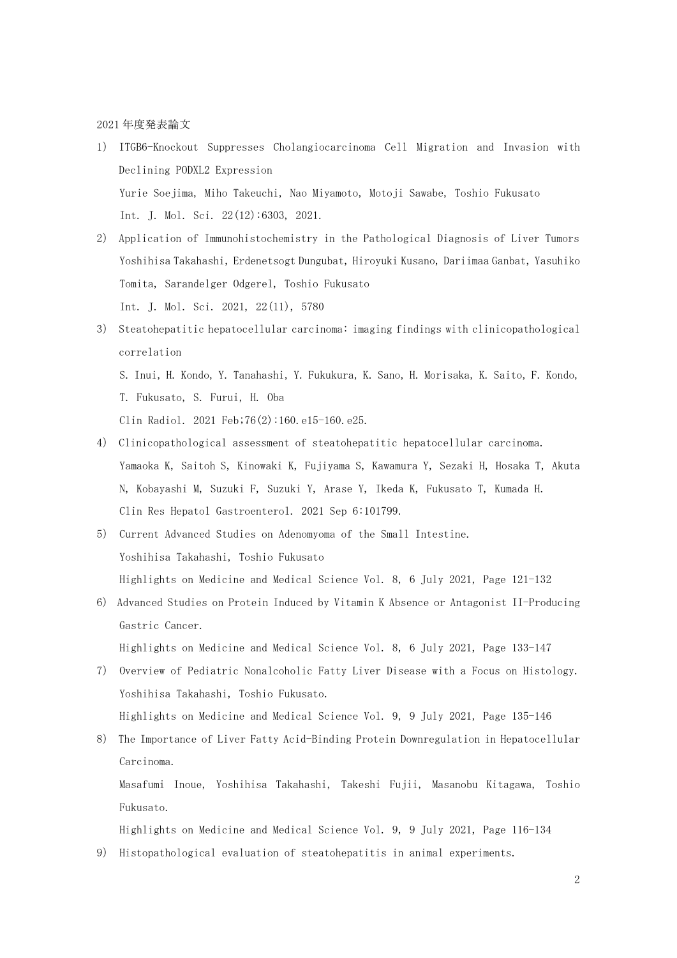2021 年度発表論文

- 1) ITGB6-Knockout Suppresses Cholangiocarcinoma Cell Migration and Invasion with Declining PODXL2 Expression Yurie Soejima, Miho Takeuchi, Nao Miyamoto, Motoji Sawabe, Toshio Fukusato Int. J. Mol. Sci. 22(12):6303, 2021.
- 2) Application of Immunohistochemistry in the Pathological Diagnosis of Liver Tumors Yoshihisa Takahashi, Erdenetsogt Dungubat, Hiroyuki Kusano, Dariimaa Ganbat, Yasuhiko Tomita, Sarandelger Odgerel, Toshio Fukusato Int. J. Mol. Sci. 2021, 22(11), 5780
- 3) Steatohepatitic hepatocellular carcinoma: imaging findings with clinicopathological correlation S. Inui, H. Kondo, Y. Tanahashi, Y. Fukukura, K. Sano, H. Morisaka, K. Saito, F. Kondo, T. Fukusato, S. Furui, H. Oba

Clin Radiol. 2021 Feb;76(2):160.e15-160.e25.

- 4) Clinicopathological assessment of steatohepatitic hepatocellular carcinoma. Yamaoka K, Saitoh S, Kinowaki K, Fujiyama S, Kawamura Y, Sezaki H, Hosaka T, Akuta N, Kobayashi M, Suzuki F, Suzuki Y, Arase Y, Ikeda K, Fukusato T, Kumada H. Clin Res Hepatol Gastroenterol. 2021 Sep 6:101799.
- 5) Current Advanced Studies on Adenomyoma of the Small Intestine. Yoshihisa Takahashi, Toshio Fukusato Highlights on Medicine and Medical Science Vol. 8, 6 July 2021, Page 121-132
- 6) Advanced Studies on Protein Induced by Vitamin K Absence or Antagonist II-Producing Gastric Cancer.

Highlights on Medicine and Medical Science Vol. 8, 6 July 2021, Page 133-147

- 7) Overview of Pediatric Nonalcoholic Fatty Liver Disease with a Focus on Histology. Yoshihisa Takahashi, Toshio Fukusato. Highlights on Medicine and Medical Science Vol. 9, 9 July 2021, Page 135-146
- 8) The Importance of Liver Fatty Acid-Binding Protein Downregulation in Hepatocellular Carcinoma.

Masafumi Inoue, Yoshihisa Takahashi, Takeshi Fujii, Masanobu Kitagawa, Toshio Fukusato.

Highlights on Medicine and Medical Science Vol. 9, 9 July 2021, Page 116-134

9) Histopathological evaluation of steatohepatitis in animal experiments.